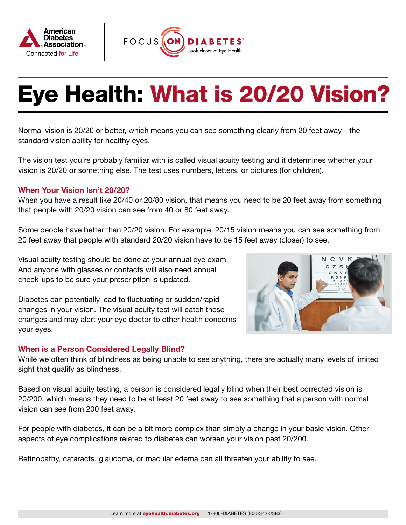



## Eye Health: What is 20/20 Vision?

Normal vision is 20/20 or better, which means you can see something clearly from 20 feet away—the standard vision ability for healthy eyes.

The vision test you're probably familiar with is called visual acuity testing and it determines whether your vision is 20/20 or something else. The test uses numbers, letters, or pictures (for children).

## When Your Vision Isn't 20/20?

When you have a result like 20/40 or 20/80 vision, that means you need to be 20 feet away from something that people with 20/20 vision can see from 40 or 80 feet away.

Some people have better than 20/20 vision. For example, 20/15 vision means you can see something from 20 feet away that people with standard 20/20 vision have to be 15 feet away (closer) to see.

Visual acuity testing should be done at your annual eye exam. And anyone with glasses or contacts will also need annual check-ups to be sure your prescription is updated.

Diabetes can potentially lead to fluctuating or sudden/rapid changes in your vision. The visual acuity test will catch these changes and may alert your eye doctor to other health concerns your eyes.

## When is a Person Considered Legally Blind?



While we often think of blindness as being unable to see anything, there are actually many levels of limited sight that qualify as blindness.

Based on visual acuity testing, a person is considered legally blind when their best corrected vision is 20/200, which means they need to be at least 20 feet away to see something that a person with normal vision can see from 200 feet away.

For people with diabetes, it can be a bit more complex than simply a change in your basic vision. Other aspects of eye complications related to diabetes can worsen your vision past 20/200.

Retinopathy, cataracts, glaucoma, or macular edema can all threaten your ability to see.